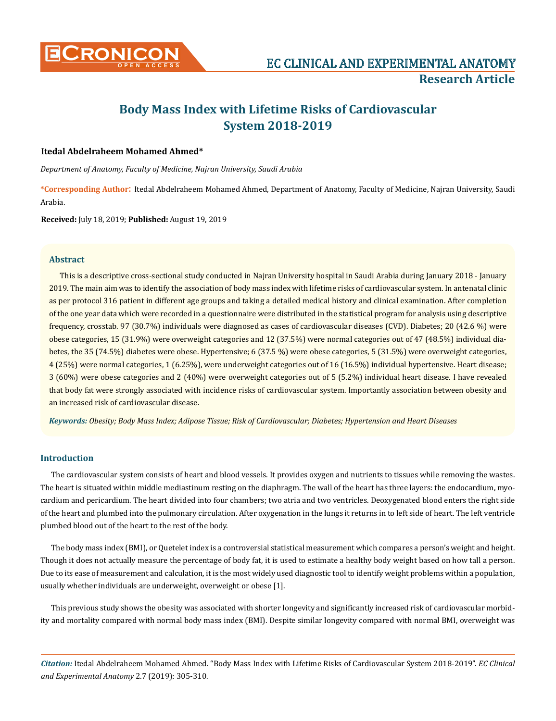

# **Body Mass Index with Lifetime Risks of Cardiovascular System 2018-2019**

## **Itedal Abdelraheem Mohamed Ahmed\***

*Department of Anatomy, Faculty of Medicine, Najran University, Saudi Arabia*

**\*Corresponding Author**: Itedal Abdelraheem Mohamed Ahmed, Department of Anatomy, Faculty of Medicine, Najran University, Saudi Arabia.

**Received:** July 18, 2019; **Published:** August 19, 2019

#### **Abstract**

This is a descriptive cross-sectional study conducted in Najran University hospital in Saudi Arabia during January 2018 - January 2019. The main aim was to identify the association of body mass index with lifetime risks of cardiovascular system. In antenatal clinic as per protocol 316 patient in different age groups and taking a detailed medical history and clinical examination. After completion of the one year data which were recorded in a questionnaire were distributed in the statistical program for analysis using descriptive frequency, crosstab. 97 (30.7%) individuals were diagnosed as cases of cardiovascular diseases (CVD). Diabetes; 20 (42.6 %) were obese categories, 15 (31.9%) were overweight categories and 12 (37.5%) were normal categories out of 47 (48.5%) individual diabetes, the 35 (74.5%) diabetes were obese. Hypertensive; 6 (37.5 %) were obese categories, 5 (31.5%) were overweight categories, 4 (25%) were normal categories, 1 (6.25%), were underweight categories out of 16 (16.5%) individual hypertensive. Heart disease; 3 (60%) were obese categories and 2 (40%) were overweight categories out of 5 (5.2%) individual heart disease. I have revealed that body fat were strongly associated with incidence risks of cardiovascular system. Importantly association between obesity and an increased risk of cardiovascular disease.

*Keywords: Obesity; Body Mass Index; Adipose Tissue; Risk of Cardiovascular; Diabetes; Hypertension and Heart Diseases*

## **Introduction**

The cardiovascular system consists of heart and blood vessels. It provides oxygen and nutrients to tissues while removing the wastes. The heart is situated within middle mediastinum resting on the diaphragm. The wall of the heart has three layers: the endocardium, myocardium and pericardium. The heart divided into four chambers; two atria and two ventricles. Deoxygenated blood enters the right side of the heart and plumbed into the pulmonary circulation. After oxygenation in the lungs it returns in to left side of heart. The left ventricle plumbed blood out of the heart to the rest of the body.

The body mass index (BMI), or Quetelet index is a controversial statistical measurement which compares a person's weight and height. Though it does not actually measure the percentage of body fat, it is used to estimate a healthy body weight based on how tall a person. Due to its ease of measurement and calculation, it is the most widely used diagnostic tool to identify weight problems within a population, usually whether individuals are underweight, overweight or obese [1].

This previous study shows the obesity was associated with shorter longevity and significantly increased risk of cardiovascular morbidity and mortality compared with normal body mass index (BMI). Despite similar longevity compared with normal BMI, overweight was

*Citation:* Itedal Abdelraheem Mohamed Ahmed. "Body Mass Index with Lifetime Risks of Cardiovascular System 2018-2019". *EC Clinical and Experimental Anatomy* 2.7 (2019): 305-310.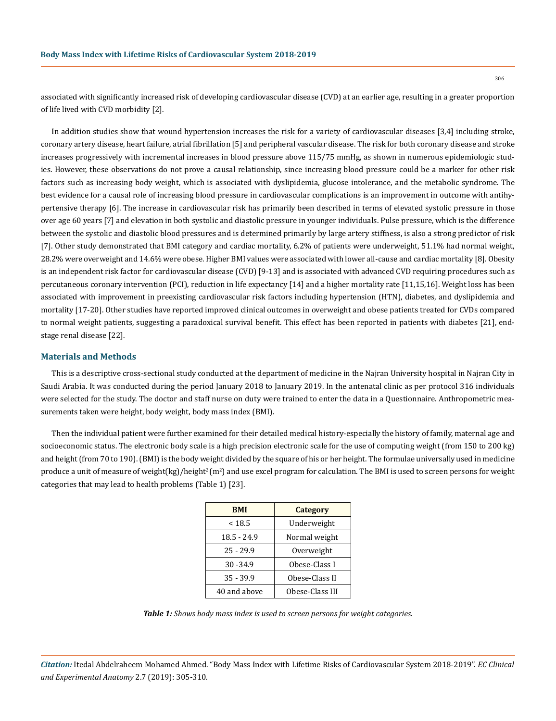306

associated with significantly increased risk of developing cardiovascular disease (CVD) at an earlier age, resulting in a greater proportion of life lived with CVD morbidity [2].

In addition studies show that wound hypertension increases the risk for a variety of cardiovascular diseases [3,4] including stroke, coronary artery disease, heart failure, atrial fibrillation [5] and peripheral vascular disease. The risk for both coronary disease and stroke increases progressively with incremental increases in blood pressure above 115/75 mmHg, as shown in numerous epidemiologic studies. However, these observations do not prove a causal relationship, since increasing blood pressure could be a marker for other risk factors such as increasing body weight, which is associated with dyslipidemia, glucose intolerance, and the metabolic syndrome. The best evidence for a causal role of increasing blood pressure in cardiovascular complications is an improvement in outcome with antihypertensive therapy [6]. The increase in cardiovascular risk has primarily been described in terms of elevated systolic pressure in those over age 60 years [7] and elevation in both systolic and diastolic pressure in younger individuals. Pulse pressure, which is the difference between the systolic and diastolic blood pressures and is determined primarily by large artery stiffness, is also a strong predictor of risk [7]. Other study demonstrated that BMI category and cardiac mortality, 6.2% of patients were underweight, 51.1% had normal weight, 28.2% were overweight and 14.6% were obese. Higher BMI values were associated with lower all-cause and cardiac mortality [8]. Obesity is an independent risk factor for cardiovascular disease (CVD) [9-13] and is associated with advanced CVD requiring procedures such as percutaneous coronary intervention (PCI), reduction in life expectancy [14] and a higher mortality rate [11,15,16]. Weight loss has been associated with improvement in preexisting cardiovascular risk factors including hypertension (HTN), diabetes, and dyslipidemia and mortality [17-20]. Other studies have reported improved clinical outcomes in overweight and obese patients treated for CVDs compared to normal weight patients, suggesting a paradoxical survival benefit. This effect has been reported in patients with diabetes [21], endstage renal disease [22].

#### **Materials and Methods**

This is a descriptive cross-sectional study conducted at the department of medicine in the Najran University hospital in Najran City in Saudi Arabia. It was conducted during the period January 2018 to January 2019. In the antenatal clinic as per protocol 316 individuals were selected for the study. The doctor and staff nurse on duty were trained to enter the data in a Questionnaire. Anthropometric measurements taken were height, body weight, body mass index (BMI).

Then the individual patient were further examined for their detailed medical history-especially the history of family, maternal age and socioeconomic status. The electronic body scale is a high precision electronic scale for the use of computing weight (from 150 to 200 kg) and height (from 70 to 190). (BMI) is the body weight divided by the square of his or her height. The formulae universally used in medicine produce a unit of measure of weight(kg)/height<sup>2</sup>(m<sup>2</sup>) and use excel program for calculation. The BMI is used to screen persons for weight categories that may lead to health problems (Table 1) [23].

| <b>BMI</b>   | <b>Category</b> |
|--------------|-----------------|
| < 18.5       | Underweight     |
| 18.5 - 24.9  | Normal weight   |
| $25 - 29.9$  | Overweight      |
| $30 - 34.9$  | Obese-Class I   |
| $35 - 39.9$  | Obese-Class II  |
| 40 and above | Obese-Class III |

*Table 1: Shows body mass index is used to screen persons for weight categories.*

*Citation:* Itedal Abdelraheem Mohamed Ahmed. "Body Mass Index with Lifetime Risks of Cardiovascular System 2018-2019". *EC Clinical and Experimental Anatomy* 2.7 (2019): 305-310.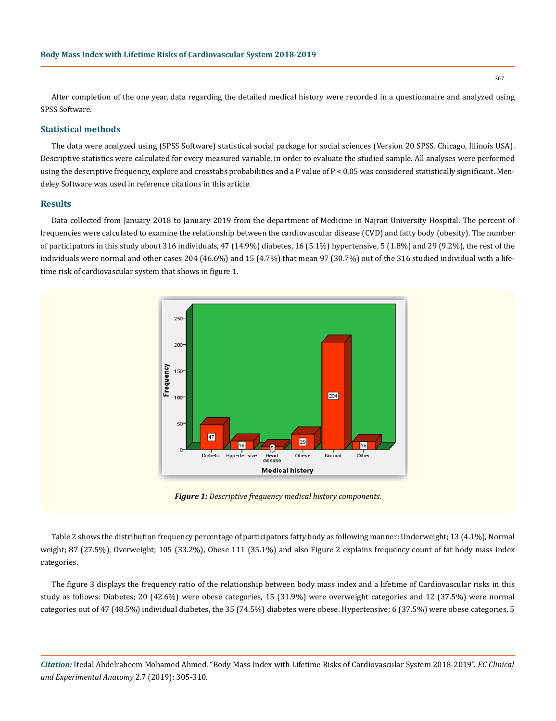After completion of the one year, data regarding the detailed medical history were recorded in a questionnaire and analyzed using SPSS Software.

#### **Statistical methods**

The data were analyzed using (SPSS Software) statistical social package for social sciences (Version 20 SPSS, Chicago, Illinois USA). Descriptive statistics were calculated for every measured variable, in order to evaluate the studied sample. All analyses were performed using the descriptive frequency, explore and crosstabs probabilities and a P value of P < 0.05 was considered statistically significant. Mendeley Software was used in reference citations in this article.

#### **Results**

Data collected from January 2018 to January 2019 from the department of Medicine in Najran University Hospital. The percent of frequencies were calculated to examine the relationship between the cardiovascular disease (CVD) and fatty body (obesity). The number of participators in this study about 316 individuals, 47 (14.9%) diabetes, 16 (5.1%) hypertensive, 5 (1.8%) and 29 (9.2%), the rest of the individuals were normal and other cases 204 (46.6%) and 15 (4.7%) that mean 97 (30.7%) out of the 316 studied individual with a lifetime risk of cardiovascular system that shows in figure 1.



*Figure 1: Descriptive frequency medical history components.*

Table 2 shows the distribution frequency percentage of participators fatty body as following manner: Underweight; 13 (4.1%), Normal weight; 87 (27.5%), Overweight; 105 (33.2%), Obese 111 (35.1%) and also Figure 2 explains frequency count of fat body mass index categories.

The figure 3 displays the frequency ratio of the relationship between body mass index and a lifetime of Cardiovascular risks in this study as follows: Diabetes; 20 (42.6%) were obese categories, 15 (31.9%) were overweight categories and 12 (37.5%) were normal categories out of 47 (48.5%) individual diabetes, the 35 (74.5%) diabetes were obese. Hypertensive; 6 (37.5%) were obese categories, 5

*Citation:* Itedal Abdelraheem Mohamed Ahmed. "Body Mass Index with Lifetime Risks of Cardiovascular System 2018-2019". *EC Clinical and Experimental Anatomy* 2.7 (2019): 305-310.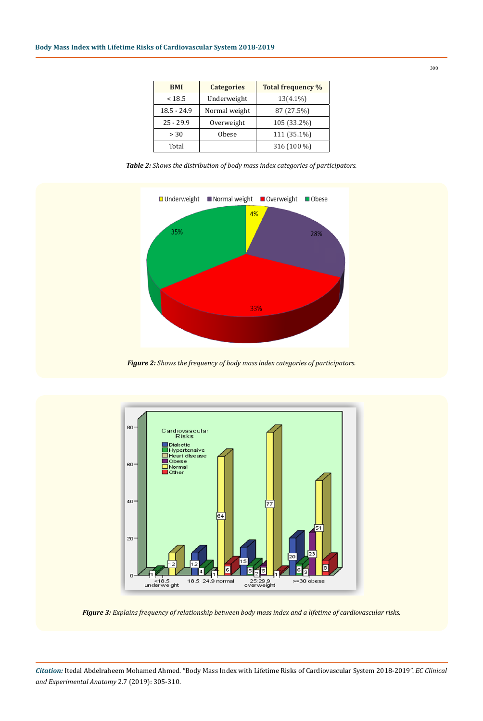| <b>BMI</b>    | <b>Categories</b> | <b>Total frequency %</b> |
|---------------|-------------------|--------------------------|
| < 18.5        | Underweight       | $13(4.1\%)$              |
| $18.5 - 24.9$ | Normal weight     | 87 (27.5%)               |
| $25 - 29.9$   | Overweight        | 105 (33.2%)              |
| > 30          | <b>Obese</b>      | 111 (35.1%)              |
| Total         |                   | 316 (100 %)              |

*Table 2: Shows the distribution of body mass index categories of participators.*



*Figure 2: Shows the frequency of body mass index categories of participators.*



*Figure 3: Explains frequency of relationship between body mass index and a lifetime of cardiovascular risks.*

*Citation:* Itedal Abdelraheem Mohamed Ahmed. "Body Mass Index with Lifetime Risks of Cardiovascular System 2018-2019". *EC Clinical and Experimental Anatomy* 2.7 (2019): 305-310.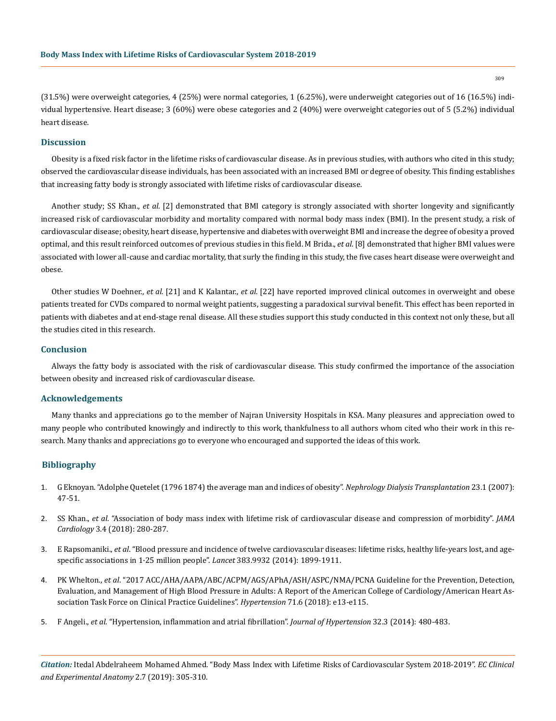(31.5%) were overweight categories, 4 (25%) were normal categories, 1 (6.25%), were underweight categories out of 16 (16.5%) individual hypertensive. Heart disease; 3 (60%) were obese categories and 2 (40%) were overweight categories out of 5 (5.2%) individual heart disease.

## **Discussion**

Obesity is a fixed risk factor in the lifetime risks of cardiovascular disease. As in previous studies, with authors who cited in this study; observed the cardiovascular disease individuals, has been associated with an increased BMI or degree of obesity. This finding establishes that increasing fatty body is strongly associated with lifetime risks of cardiovascular disease.

Another study; SS Khan., *et al.* [2] demonstrated that BMI category is strongly associated with shorter longevity and significantly increased risk of cardiovascular morbidity and mortality compared with normal body mass index (BMI). In the present study, a risk of cardiovascular disease; obesity, heart disease, hypertensive and diabetes with overweight BMI and increase the degree of obesity a proved optimal, and this result reinforced outcomes of previous studies in this field. M Brida., *et al.* [8] demonstrated that higher BMI values were associated with lower all-cause and cardiac mortality, that surly the finding in this study, the five cases heart disease were overweight and obese.

Other studies W Doehner., *et al.* [21] and K Kalantar., *et al.* [22] have reported improved clinical outcomes in overweight and obese patients treated for CVDs compared to normal weight patients, suggesting a paradoxical survival benefit. This effect has been reported in patients with diabetes and at end-stage renal disease. All these studies support this study conducted in this context not only these, but all the studies cited in this research.

## **Conclusion**

Always the fatty body is associated with the risk of cardiovascular disease. This study confirmed the importance of the association between obesity and increased risk of cardiovascular disease.

#### **Acknowledgements**

Many thanks and appreciations go to the member of Najran University Hospitals in KSA. Many pleasures and appreciation owed to many people who contributed knowingly and indirectly to this work, thankfulness to all authors whom cited who their work in this research. Many thanks and appreciations go to everyone who encouraged and supported the ideas of this work.

#### **Bibliography**

- 1. [G Eknoyan. "Adolphe Quetelet \(1796 1874\) the average man and indices of obesity".](https://www.ncbi.nlm.nih.gov/pubmed/17890752) *Nephrology Dialysis Transplantation* 23.1 (2007): [47-51.](https://www.ncbi.nlm.nih.gov/pubmed/17890752)
- 2. SS Khan., *et al*[. "Association of body mass index with lifetime risk of cardiovascular disease and compression of morbidity".](https://www.ncbi.nlm.nih.gov/pubmed/29490333) *JAMA Cardiology* [3.4 \(2018\): 280-287.](https://www.ncbi.nlm.nih.gov/pubmed/29490333)
- 3. E Rapsomaniki., *et al*[. "Blood pressure and incidence of twelve cardiovascular diseases: lifetime risks, healthy life-years lost, and age](https://www.ncbi.nlm.nih.gov/pubmed/24881994)[specific associations in 1·25 million people".](https://www.ncbi.nlm.nih.gov/pubmed/24881994) *Lancet* 383.9932 (2014): 1899-1911.
- 4. PK Whelton., *et al*[. "2017 ACC/AHA/AAPA/ABC/ACPM/AGS/APhA/ASH/ASPC/NMA/PCNA Guideline for the Prevention, Detection,](https://www.ncbi.nlm.nih.gov/pubmed/29133354)  [Evaluation, and Management of High Blood Pressure in Adults: A Report of the American College of Cardiology/American Heart As](https://www.ncbi.nlm.nih.gov/pubmed/29133354)[sociation Task Force on Clinical Practice Guidelines".](https://www.ncbi.nlm.nih.gov/pubmed/29133354) *Hypertension* 71.6 (2018): e13-e115.
- 5. F Angeli., *et al*[. "Hypertension, inflammation and atrial fibrillation".](https://www.ncbi.nlm.nih.gov/pubmed/24477094) *Journal of Hypertension* 32.3 (2014): 480-483.

*Citation:* Itedal Abdelraheem Mohamed Ahmed. "Body Mass Index with Lifetime Risks of Cardiovascular System 2018-2019". *EC Clinical and Experimental Anatomy* 2.7 (2019): 305-310.